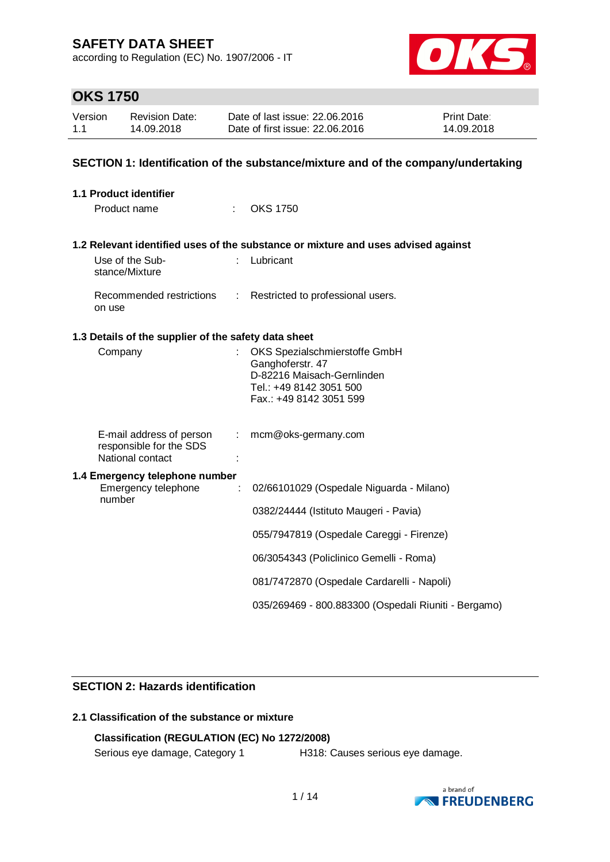according to Regulation (EC) No. 1907/2006 - IT



# **OKS 1750**

| Version | Revision Date: | Date of last issue: 22,06,2016  | <b>Print Date:</b> |
|---------|----------------|---------------------------------|--------------------|
| 1.1     | 14.09.2018     | Date of first issue: 22,06,2016 | 14.09.2018         |

### **SECTION 1: Identification of the substance/mixture and of the company/undertaking**

| <b>1.1 Product identifier</b>                                           |                |                                                                                                                                       |
|-------------------------------------------------------------------------|----------------|---------------------------------------------------------------------------------------------------------------------------------------|
| Product name                                                            |                | <b>OKS 1750</b>                                                                                                                       |
|                                                                         |                | 1.2 Relevant identified uses of the substance or mixture and uses advised against                                                     |
| Use of the Sub-<br>stance/Mixture                                       |                | Lubricant                                                                                                                             |
| Recommended restrictions<br>on use                                      |                | : Restricted to professional users.                                                                                                   |
| 1.3 Details of the supplier of the safety data sheet                    |                |                                                                                                                                       |
| Company                                                                 |                | OKS Spezialschmierstoffe GmbH<br>Ganghoferstr. 47<br>D-82216 Maisach-Gernlinden<br>Tel.: +49 8142 3051 500<br>Fax.: +49 8142 3051 599 |
| E-mail address of person<br>responsible for the SDS<br>National contact | $\mathbb{R}^n$ | mcm@oks-germany.com                                                                                                                   |
| 1.4 Emergency telephone number<br>Emergency telephone                   | ÷              | 02/66101029 (Ospedale Niguarda - Milano)                                                                                              |
| number                                                                  |                | 0382/24444 (Istituto Maugeri - Pavia)                                                                                                 |
|                                                                         |                | 055/7947819 (Ospedale Careggi - Firenze)                                                                                              |
|                                                                         |                | 06/3054343 (Policlinico Gemelli - Roma)                                                                                               |
|                                                                         |                | 081/7472870 (Ospedale Cardarelli - Napoli)                                                                                            |
|                                                                         |                | 035/269469 - 800.883300 (Ospedali Riuniti - Bergamo)                                                                                  |

### **SECTION 2: Hazards identification**

### **2.1 Classification of the substance or mixture**

### **Classification (REGULATION (EC) No 1272/2008)**

Serious eye damage, Category 1 H318: Causes serious eye damage.

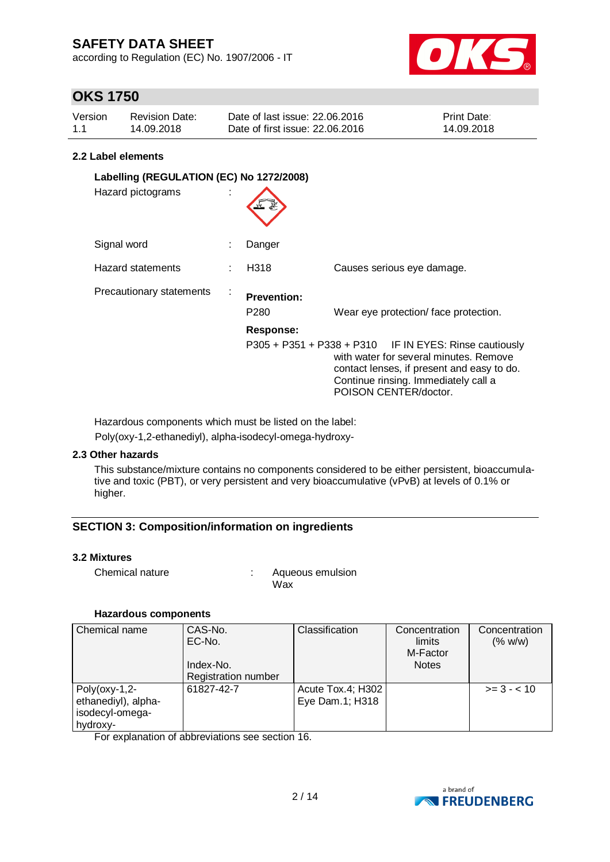according to Regulation (EC) No. 1907/2006 - IT



# **OKS 1750**

| Version | <b>Revision Date:</b> | Date of last issue: 22.06.2016  | <b>Print Date:</b> |
|---------|-----------------------|---------------------------------|--------------------|
| 1.1     | 14.09.2018            | Date of first issue: 22.06.2016 | 14.09.2018         |

### **2.2 Label elements**

| Labelling (REGULATION (EC) No 1272/2008)<br>Hazard pictograms |    |                                                            |                                                                                                                                                                                                                 |
|---------------------------------------------------------------|----|------------------------------------------------------------|-----------------------------------------------------------------------------------------------------------------------------------------------------------------------------------------------------------------|
| Signal word                                                   |    | Danger                                                     |                                                                                                                                                                                                                 |
| Hazard statements                                             |    | H318                                                       | Causes serious eye damage.                                                                                                                                                                                      |
| Precautionary statements                                      | ×. | <b>Prevention:</b><br>P <sub>280</sub><br><b>Response:</b> | Wear eye protection/face protection.                                                                                                                                                                            |
|                                                               |    |                                                            | P305 + P351 + P338 + P310 IF IN EYES: Rinse cautiously<br>with water for several minutes. Remove<br>contact lenses, if present and easy to do.<br>Continue rinsing. Immediately call a<br>POISON CENTER/doctor. |

Hazardous components which must be listed on the label:

Poly(oxy-1,2-ethanediyl), alpha-isodecyl-omega-hydroxy-

### **2.3 Other hazards**

This substance/mixture contains no components considered to be either persistent, bioaccumulative and toxic (PBT), or very persistent and very bioaccumulative (vPvB) at levels of 0.1% or higher.

### **SECTION 3: Composition/information on ingredients**

### **3.2 Mixtures**

Chemical nature : Chemical nature : Aqueous emulsion Wax

### **Hazardous components**

| Chemical name       | CAS-No.                    | Classification    | Concentration | Concentration |
|---------------------|----------------------------|-------------------|---------------|---------------|
|                     | EC-No.                     |                   | limits        | (% w/w)       |
|                     |                            |                   | M-Factor      |               |
|                     | Index-No.                  |                   | <b>Notes</b>  |               |
|                     | <b>Registration number</b> |                   |               |               |
| $Poly($ oxy-1,2-    | 61827-42-7                 | Acute Tox.4; H302 |               | $>= 3 - 10$   |
| ethanediyl), alpha- |                            | Eye Dam.1; H318   |               |               |
| isodecyl-omega-     |                            |                   |               |               |
| hydroxy-            |                            |                   |               |               |

For explanation of abbreviations see section 16.

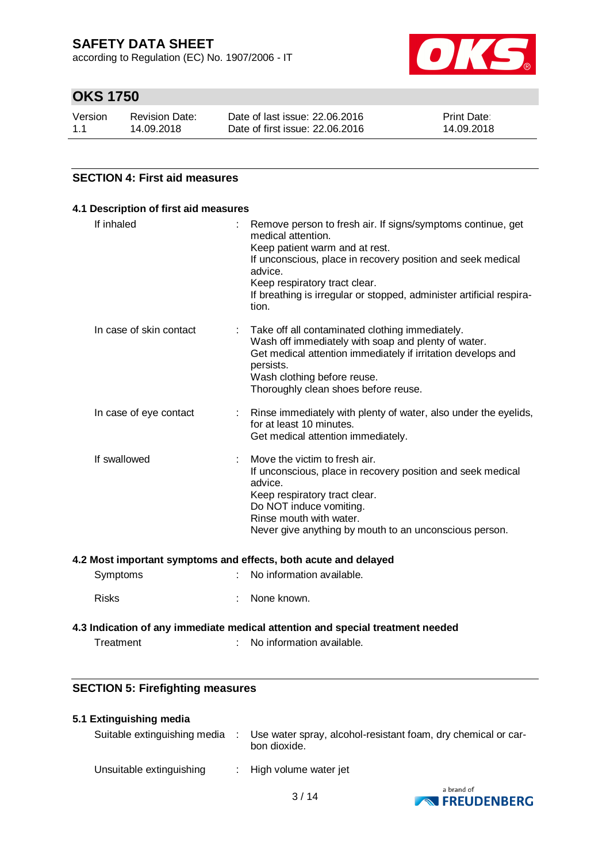according to Regulation (EC) No. 1907/2006 - IT



# **OKS 1750**

| Version | Revision Date: | Date of last issue: 22,06,2016  | <b>Print Date:</b> |
|---------|----------------|---------------------------------|--------------------|
| 1.1     | 14.09.2018     | Date of first issue: 22,06,2016 | 14.09.2018         |

### **SECTION 4: First aid measures**

| 4.1 Description of first aid measures |                                                                                                                                                                                                                                                                                                                 |
|---------------------------------------|-----------------------------------------------------------------------------------------------------------------------------------------------------------------------------------------------------------------------------------------------------------------------------------------------------------------|
| If inhaled                            | Remove person to fresh air. If signs/symptoms continue, get<br>medical attention.<br>Keep patient warm and at rest.<br>If unconscious, place in recovery position and seek medical<br>advice.<br>Keep respiratory tract clear.<br>If breathing is irregular or stopped, administer artificial respira-<br>tion. |
| In case of skin contact               | Take off all contaminated clothing immediately.<br>Wash off immediately with soap and plenty of water.<br>Get medical attention immediately if irritation develops and<br>persists.<br>Wash clothing before reuse.<br>Thoroughly clean shoes before reuse.                                                      |
| In case of eye contact                | Rinse immediately with plenty of water, also under the eyelids,<br>for at least 10 minutes.<br>Get medical attention immediately.                                                                                                                                                                               |
| If swallowed                          | Move the victim to fresh air.<br>If unconscious, place in recovery position and seek medical<br>advice.<br>Keep respiratory tract clear.<br>Do NOT induce vomiting.<br>Rinse mouth with water.<br>Never give anything by mouth to an unconscious person.                                                        |

#### **4.2 Most important symptoms and effects, both acute and delayed**

| Symptoms | : No information available. |
|----------|-----------------------------|
| Risks    | : None known.               |

### **4.3 Indication of any immediate medical attention and special treatment needed** Treatment : No information available.

## **SECTION 5: Firefighting measures**

### **5.1 Extinguishing media**

| Suitable extinguishing media | ÷ | Use water spray, alcohol-resistant foam, dry chemical or car-<br>bon dioxide. |
|------------------------------|---|-------------------------------------------------------------------------------|
| Unsuitable extinguishing     |   | $\therefore$ High volume water jet                                            |

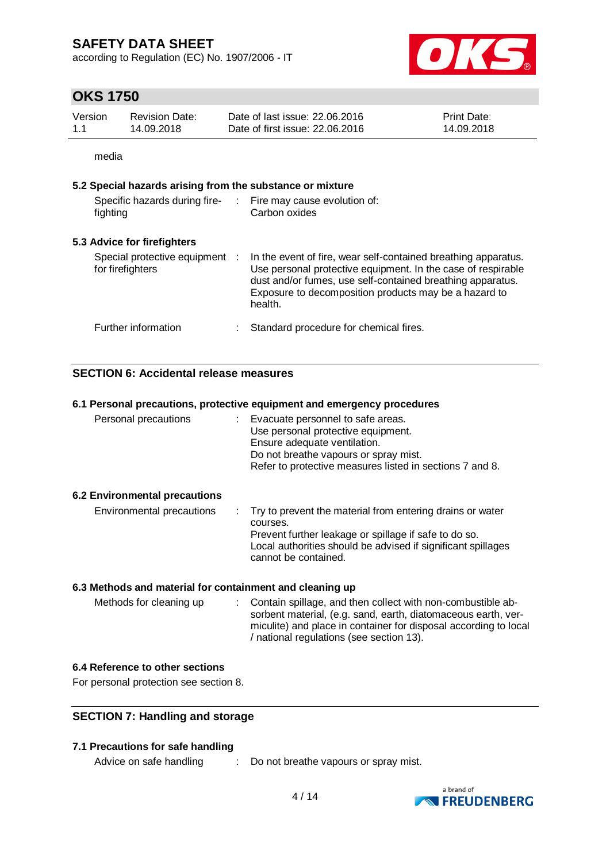according to Regulation (EC) No. 1907/2006 - IT



## **OKS 1750**

| Version | <b>Revision Date:</b> | Date of last issue: 22,06,2016  | <b>Print Date:</b> |
|---------|-----------------------|---------------------------------|--------------------|
| 1.1     | 14.09.2018            | Date of first issue: 22,06,2016 | 14.09.2018         |

media

### **5.2 Special hazards arising from the substance or mixture**

| Specific hazards during fire-<br>fighting          | Fire may cause evolution of:<br>Carbon oxides                                                                                                                                                                                                                    |
|----------------------------------------------------|------------------------------------------------------------------------------------------------------------------------------------------------------------------------------------------------------------------------------------------------------------------|
| 5.3 Advice for firefighters                        |                                                                                                                                                                                                                                                                  |
| Special protective equipment :<br>for firefighters | In the event of fire, wear self-contained breathing apparatus.<br>Use personal protective equipment. In the case of respirable<br>dust and/or fumes, use self-contained breathing apparatus.<br>Exposure to decomposition products may be a hazard to<br>health. |
| Further information                                | Standard procedure for chemical fires.                                                                                                                                                                                                                           |

### **SECTION 6: Accidental release measures**

### **6.1 Personal precautions, protective equipment and emergency procedures**

| Personal precautions          | Evacuate personnel to safe areas.<br>Use personal protective equipment.<br>Ensure adequate ventilation.<br>Do not breathe vapours or spray mist.<br>Refer to protective measures listed in sections 7 and 8. |
|-------------------------------|--------------------------------------------------------------------------------------------------------------------------------------------------------------------------------------------------------------|
| 6.2 Environmental precautions |                                                                                                                                                                                                              |
| Environmental precautions     | Try to prevent the material from entering drains or water<br>courses.                                                                                                                                        |
|                               | Prevent further leakage or spillage if safe to do so.<br>Local authorities should be advised if significant spillages                                                                                        |

cannot be contained.

### **6.3 Methods and material for containment and cleaning up**

Methods for cleaning up : Contain spillage, and then collect with non-combustible absorbent material, (e.g. sand, earth, diatomaceous earth, vermiculite) and place in container for disposal according to local / national regulations (see section 13).

### **6.4 Reference to other sections**

For personal protection see section 8.

### **SECTION 7: Handling and storage**

### **7.1 Precautions for safe handling**

Advice on safe handling : Do not breathe vapours or spray mist.

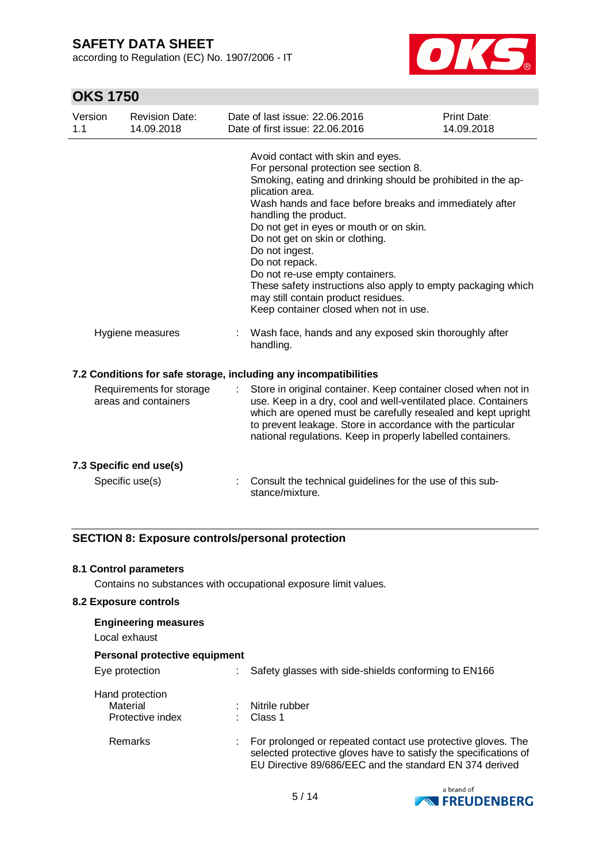according to Regulation (EC) No. 1907/2006 - IT



# **OKS 1750**

| Version<br>1.1                                   | <b>Revision Date:</b><br>14.09.2018                              |                                                     | Date of last issue: 22.06.2016<br>Date of first issue: 22.06.2016                                                                                                                                                                                                                                                                                                                                                                                                                                  | Print Date:<br>14.09.2018 |
|--------------------------------------------------|------------------------------------------------------------------|-----------------------------------------------------|----------------------------------------------------------------------------------------------------------------------------------------------------------------------------------------------------------------------------------------------------------------------------------------------------------------------------------------------------------------------------------------------------------------------------------------------------------------------------------------------------|---------------------------|
|                                                  |                                                                  | plication area.<br>Do not ingest.<br>Do not repack. | Avoid contact with skin and eyes.<br>For personal protection see section 8.<br>Smoking, eating and drinking should be prohibited in the ap-<br>Wash hands and face before breaks and immediately after<br>handling the product.<br>Do not get in eyes or mouth or on skin.<br>Do not get on skin or clothing.<br>Do not re-use empty containers.<br>These safety instructions also apply to empty packaging which<br>may still contain product residues.<br>Keep container closed when not in use. |                           |
|                                                  | Hygiene measures                                                 | handling.                                           | Wash face, hands and any exposed skin thoroughly after                                                                                                                                                                                                                                                                                                                                                                                                                                             |                           |
|                                                  | 7.2 Conditions for safe storage, including any incompatibilities |                                                     |                                                                                                                                                                                                                                                                                                                                                                                                                                                                                                    |                           |
| Requirements for storage<br>areas and containers |                                                                  |                                                     | Store in original container. Keep container closed when not in<br>use. Keep in a dry, cool and well-ventilated place. Containers<br>which are opened must be carefully resealed and kept upright<br>to prevent leakage. Store in accordance with the particular<br>national regulations. Keep in properly labelled containers.                                                                                                                                                                     |                           |
|                                                  | 7.3 Specific end use(s)                                          |                                                     |                                                                                                                                                                                                                                                                                                                                                                                                                                                                                                    |                           |
| Specific use(s)                                  |                                                                  | stance/mixture.                                     | Consult the technical guidelines for the use of this sub-                                                                                                                                                                                                                                                                                                                                                                                                                                          |                           |

### **SECTION 8: Exposure controls/personal protection**

### **8.1 Control parameters**

Contains no substances with occupational exposure limit values.

### **8.2 Exposure controls**

| <b>Engineering measures</b><br>Local exhaust |                                                                                                                                                                                             |
|----------------------------------------------|---------------------------------------------------------------------------------------------------------------------------------------------------------------------------------------------|
| Personal protective equipment                |                                                                                                                                                                                             |
| Eye protection                               | Safety glasses with side-shields conforming to EN166                                                                                                                                        |
| Hand protection                              |                                                                                                                                                                                             |
| Material                                     | Nitrile rubber                                                                                                                                                                              |
| Protective index                             | ∶ Class 1                                                                                                                                                                                   |
| Remarks                                      | For prolonged or repeated contact use protective gloves. The<br>selected protective gloves have to satisfy the specifications of<br>EU Directive 89/686/EEC and the standard EN 374 derived |

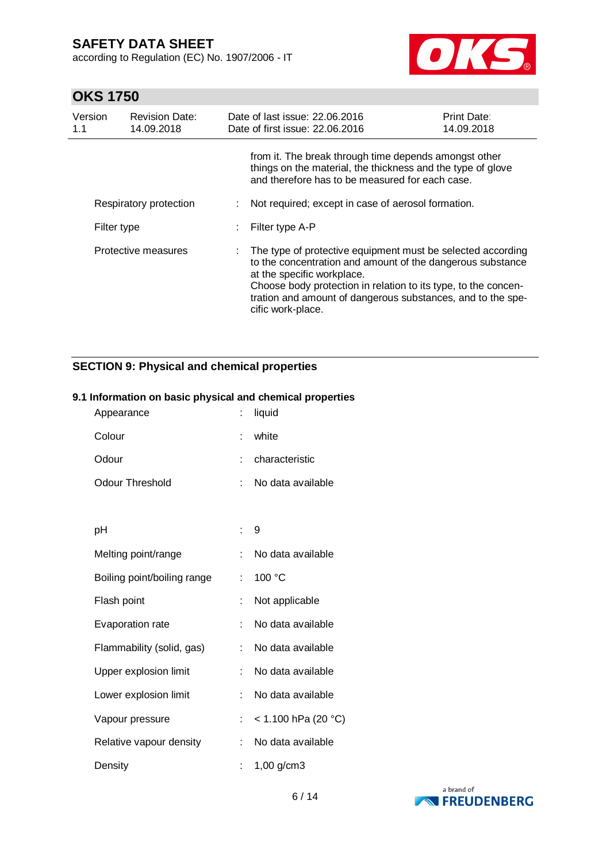according to Regulation (EC) No. 1907/2006 - IT



# **OKS 1750**

| Version<br>1.1      | <b>Revision Date:</b><br>14.09.2018 |    | Date of last issue: 22.06.2016<br>Date of first issue: 22.06.2016                                                                                                                                                                                                                                             | <b>Print Date:</b><br>14.09.2018 |
|---------------------|-------------------------------------|----|---------------------------------------------------------------------------------------------------------------------------------------------------------------------------------------------------------------------------------------------------------------------------------------------------------------|----------------------------------|
|                     |                                     |    | from it. The break through time depends amongst other<br>things on the material, the thickness and the type of glove<br>and therefore has to be measured for each case.                                                                                                                                       |                                  |
|                     | Respiratory protection              | ÷. | Not required; except in case of aerosol formation.                                                                                                                                                                                                                                                            |                                  |
| Filter type         |                                     |    | Filter type A-P                                                                                                                                                                                                                                                                                               |                                  |
| Protective measures |                                     |    | The type of protective equipment must be selected according<br>to the concentration and amount of the dangerous substance<br>at the specific workplace.<br>Choose body protection in relation to its type, to the concen-<br>tration and amount of dangerous substances, and to the spe-<br>cific work-place. |                                  |

## **SECTION 9: Physical and chemical properties**

### **9.1 Information on basic physical and chemical properties**

| Appearance                  |    | liquid              |
|-----------------------------|----|---------------------|
| Colour                      | t  | white               |
| Odour                       | t  | characteristic      |
| Odour Threshold             | t  | No data available   |
|                             |    |                     |
| рH                          | t. | 9                   |
| Melting point/range         | t  | No data available   |
| Boiling point/boiling range | t. | 100 °C              |
| Flash point                 | t  | Not applicable      |
| Evaporation rate            | t  | No data available   |
| Flammability (solid, gas)   | t  | No data available   |
| Upper explosion limit       | t. | No data available   |
| Lower explosion limit       | t  | No data available   |
| Vapour pressure             | t  | < 1.100 hPa (20 °C) |
| Relative vapour density     | t. | No data available   |
| Density                     |    | 1,00 g/cm3          |

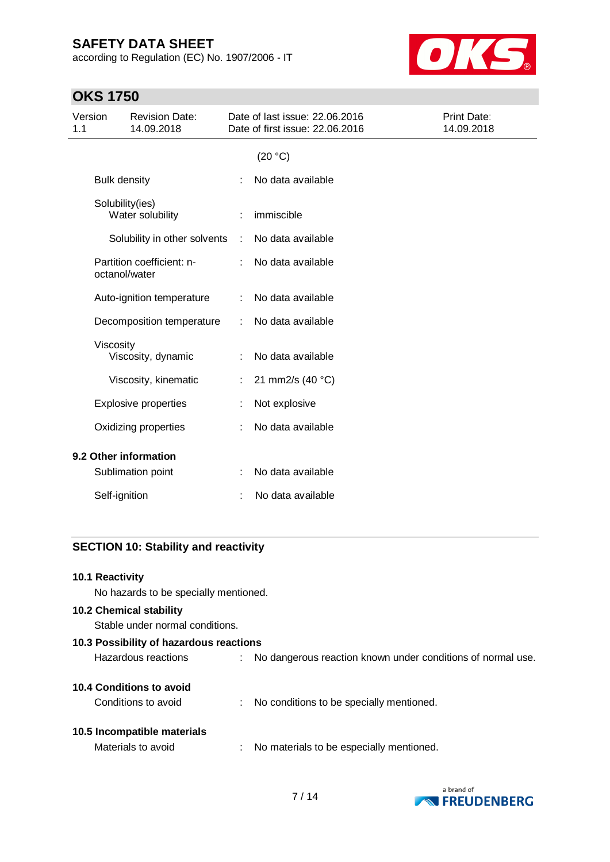according to Regulation (EC) No. 1907/2006 - IT



# **OKS 1750**

| Version<br>1.1        |                     | <b>Revision Date:</b><br>14.09.2018        |    | Date of last issue: 22.06.2016<br>Date of first issue: 22.06.2016 | Print Date:<br>14.09.2018 |
|-----------------------|---------------------|--------------------------------------------|----|-------------------------------------------------------------------|---------------------------|
|                       |                     |                                            |    | (20 °C)                                                           |                           |
|                       | <b>Bulk density</b> |                                            |    | No data available                                                 |                           |
|                       |                     | Solubility(ies)<br>Water solubility        |    | immiscible                                                        |                           |
|                       |                     | Solubility in other solvents               | ÷  | No data available                                                 |                           |
|                       |                     | Partition coefficient: n-<br>octanol/water | ÷  | No data available                                                 |                           |
|                       |                     | Auto-ignition temperature                  |    | No data available                                                 |                           |
|                       |                     | Decomposition temperature                  | ÷  | No data available                                                 |                           |
|                       | Viscosity           | Viscosity, dynamic                         |    | No data available                                                 |                           |
|                       |                     | Viscosity, kinematic                       | ÷. | 21 mm2/s (40 °C)                                                  |                           |
|                       |                     | <b>Explosive properties</b>                |    | Not explosive                                                     |                           |
|                       |                     | Oxidizing properties                       |    | No data available                                                 |                           |
| 9.2 Other information |                     |                                            |    |                                                                   |                           |
|                       |                     | Sublimation point                          |    | No data available                                                 |                           |
|                       | Self-ignition       |                                            |    | No data available                                                 |                           |

### **SECTION 10: Stability and reactivity**

### **10.1 Reactivity**

No hazards to be specially mentioned.

### **10.2 Chemical stability**

Stable under normal conditions.

| 10.3 Possibility of hazardous reactions |    |                                                             |  |  |  |
|-----------------------------------------|----|-------------------------------------------------------------|--|--|--|
| Hazardous reactions                     |    | No dangerous reaction known under conditions of normal use. |  |  |  |
| 10.4 Conditions to avoid                |    |                                                             |  |  |  |
| Conditions to avoid                     |    | No conditions to be specially mentioned.                    |  |  |  |
|                                         |    |                                                             |  |  |  |
| 10.5 Incompatible materials             |    |                                                             |  |  |  |
| Materials to avoid                      | ÷. | No materials to be especially mentioned.                    |  |  |  |
|                                         |    |                                                             |  |  |  |

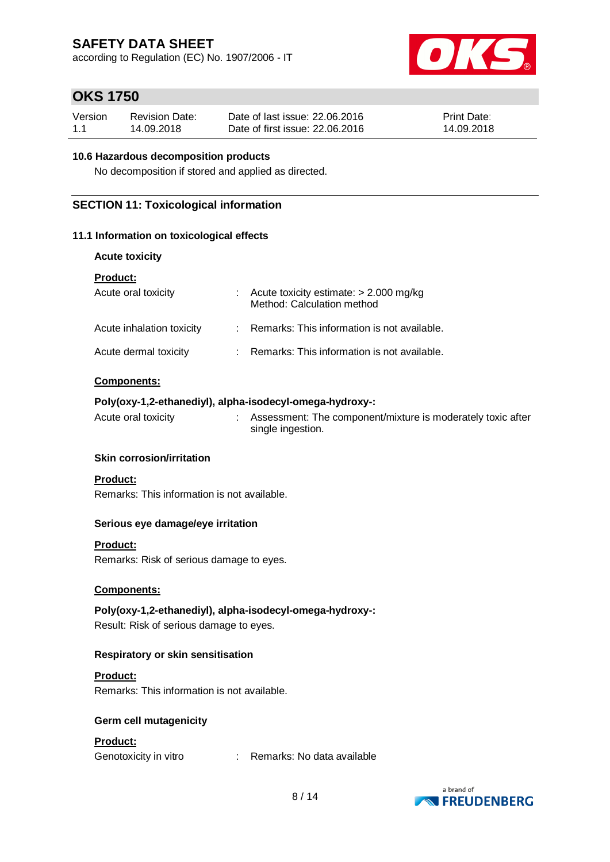according to Regulation (EC) No. 1907/2006 - IT



## **OKS 1750**

| Version | <b>Revision Date:</b> | Date of last issue: 22,06,2016  | <b>Print Date:</b> |
|---------|-----------------------|---------------------------------|--------------------|
| 1.1     | 14.09.2018            | Date of first issue: 22,06,2016 | 14.09.2018         |

### **10.6 Hazardous decomposition products**

No decomposition if stored and applied as directed.

### **SECTION 11: Toxicological information**

### **11.1 Information on toxicological effects**

| <b>Acute toxicity</b> |  |  |
|-----------------------|--|--|
|-----------------------|--|--|

| <b>Product:</b>           |                                                                          |
|---------------------------|--------------------------------------------------------------------------|
| Acute oral toxicity       | : Acute toxicity estimate: $> 2.000$ mg/kg<br>Method: Calculation method |
| Acute inhalation toxicity | : Remarks: This information is not available.                            |
| Acute dermal toxicity     | : Remarks: This information is not available.                            |

### **Components:**

### **Poly(oxy-1,2-ethanediyl), alpha-isodecyl-omega-hydroxy-:**

Acute oral toxicity : Assessment: The component/mixture is moderately toxic after single ingestion.

### **Skin corrosion/irritation**

### **Product:**

Remarks: This information is not available.

### **Serious eye damage/eye irritation**

### **Product:**

Remarks: Risk of serious damage to eyes.

### **Components:**

**Poly(oxy-1,2-ethanediyl), alpha-isodecyl-omega-hydroxy-:** Result: Risk of serious damage to eyes.

### **Respiratory or skin sensitisation**

### **Product:**

Remarks: This information is not available.

### **Germ cell mutagenicity**

### **Product:**

Genotoxicity in vitro : Remarks: No data available

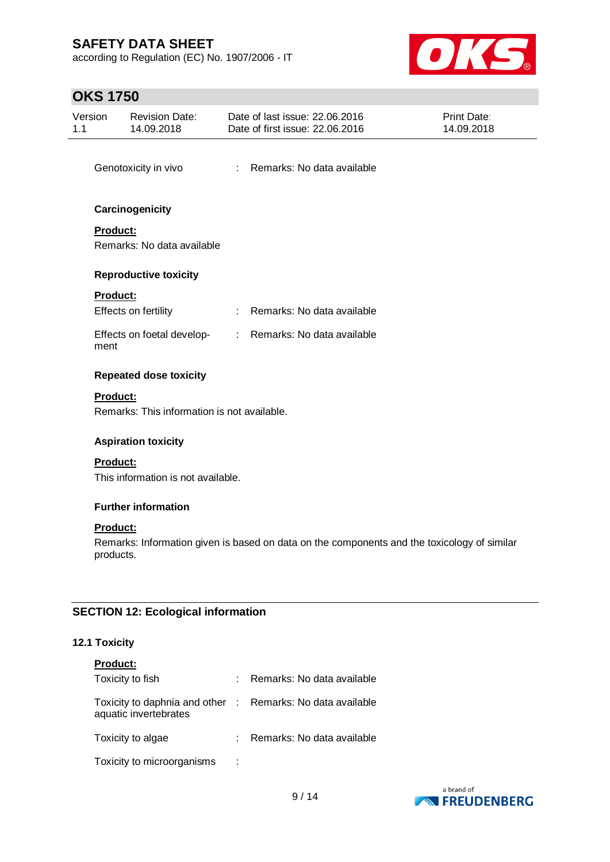according to Regulation (EC) No. 1907/2006 - IT



# **OKS 1750**

|                                           | UI VI VV              |                                                          |   |                                                                                             |                                  |  |
|-------------------------------------------|-----------------------|----------------------------------------------------------|---|---------------------------------------------------------------------------------------------|----------------------------------|--|
| 1.1                                       | Version               | <b>Revision Date:</b><br>14.09.2018                      |   | Date of last issue: 22.06.2016<br>Date of first issue: 22.06.2016                           | <b>Print Date:</b><br>14.09.2018 |  |
|                                           |                       | Genotoxicity in vivo                                     |   | : Remarks: No data available                                                                |                                  |  |
|                                           |                       | Carcinogenicity                                          |   |                                                                                             |                                  |  |
|                                           | Product:              | Remarks: No data available                               |   |                                                                                             |                                  |  |
|                                           |                       | <b>Reproductive toxicity</b>                             |   |                                                                                             |                                  |  |
|                                           | Product:              | Effects on fertility                                     |   | : Remarks: No data available                                                                |                                  |  |
|                                           | ment                  | Effects on foetal develop-                               |   | : Remarks: No data available                                                                |                                  |  |
|                                           |                       | <b>Repeated dose toxicity</b>                            |   |                                                                                             |                                  |  |
|                                           | <b>Product:</b>       | Remarks: This information is not available.              |   |                                                                                             |                                  |  |
|                                           |                       | <b>Aspiration toxicity</b>                               |   |                                                                                             |                                  |  |
|                                           | Product:              |                                                          |   |                                                                                             |                                  |  |
|                                           |                       | This information is not available.                       |   |                                                                                             |                                  |  |
|                                           |                       | <b>Further information</b>                               |   |                                                                                             |                                  |  |
|                                           | Product:<br>products. |                                                          |   | Remarks: Information given is based on data on the components and the toxicology of similar |                                  |  |
| <b>SECTION 12: Ecological information</b> |                       |                                                          |   |                                                                                             |                                  |  |
|                                           | 12.1 Toxicity         |                                                          |   |                                                                                             |                                  |  |
|                                           | Product:              |                                                          |   |                                                                                             |                                  |  |
|                                           |                       | Toxicity to fish                                         | ÷ | Remarks: No data available                                                                  |                                  |  |
|                                           |                       | Toxicity to daphnia and other :<br>aquatic invertebrates |   | Remarks: No data available                                                                  |                                  |  |

a brand of **EXPRESSION FREUDENBERG** 

Toxicity to algae : Remarks: No data available

Toxicity to microorganisms :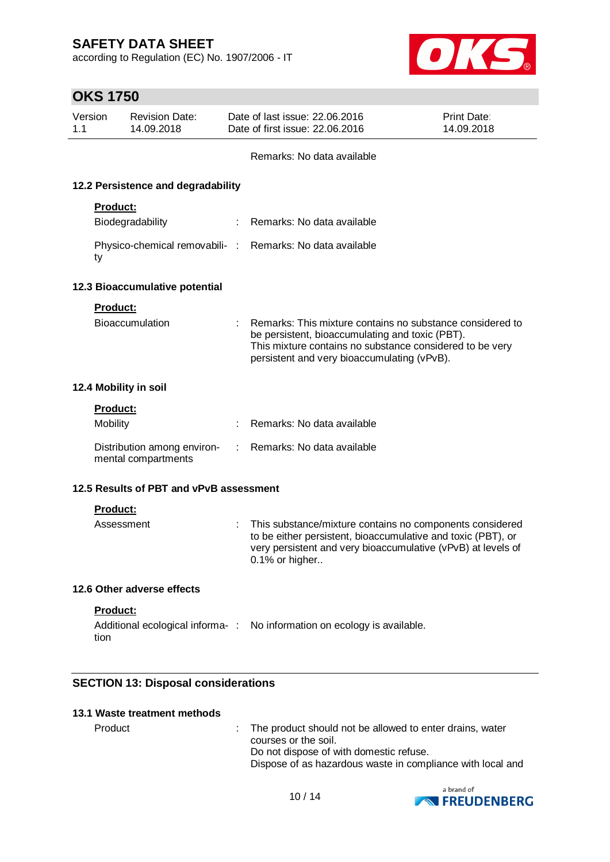according to Regulation (EC) No. 1907/2006 - IT



# **OKS 1750**

| Version<br>1.1  | <b>Revision Date:</b><br>14.09.2018                |    | Date of last issue: 22,06,2016<br>Date of first issue: 22.06.2016                                                                                                                                                       | Print Date:<br>14.09.2018 |
|-----------------|----------------------------------------------------|----|-------------------------------------------------------------------------------------------------------------------------------------------------------------------------------------------------------------------------|---------------------------|
|                 |                                                    |    | Remarks: No data available                                                                                                                                                                                              |                           |
|                 | 12.2 Persistence and degradability                 |    |                                                                                                                                                                                                                         |                           |
|                 | <b>Product:</b>                                    |    |                                                                                                                                                                                                                         |                           |
|                 | Biodegradability                                   | t. | Remarks: No data available                                                                                                                                                                                              |                           |
| ty              |                                                    |    | Physico-chemical removabili- : Remarks: No data available                                                                                                                                                               |                           |
|                 | 12.3 Bioaccumulative potential                     |    |                                                                                                                                                                                                                         |                           |
|                 | <b>Product:</b>                                    |    |                                                                                                                                                                                                                         |                           |
|                 | Bioaccumulation                                    |    | Remarks: This mixture contains no substance considered to<br>be persistent, bioaccumulating and toxic (PBT).<br>This mixture contains no substance considered to be very<br>persistent and very bioaccumulating (vPvB). |                           |
|                 | 12.4 Mobility in soil                              |    |                                                                                                                                                                                                                         |                           |
|                 | Product:                                           |    |                                                                                                                                                                                                                         |                           |
| <b>Mobility</b> |                                                    |    | Remarks: No data available                                                                                                                                                                                              |                           |
|                 | Distribution among environ-<br>mental compartments |    | Remarks: No data available                                                                                                                                                                                              |                           |
|                 | 12.5 Results of PBT and vPvB assessment            |    |                                                                                                                                                                                                                         |                           |
|                 | <b>Product:</b>                                    |    |                                                                                                                                                                                                                         |                           |
|                 | Assessment                                         |    | This substance/mixture contains no components considered<br>to be either persistent, bioaccumulative and toxic (PBT), or<br>very persistent and very bioaccumulative (vPvB) at levels of<br>0.1% or higher              |                           |
|                 | 12.6 Other adverse effects                         |    |                                                                                                                                                                                                                         |                           |

### **Product:**

Additional ecological informa-: No information on ecology is available. tion

### **SECTION 13: Disposal considerations**

### **13.1 Waste treatment methods**

Product : The product should not be allowed to enter drains, water courses or the soil. Do not dispose of with domestic refuse. Dispose of as hazardous waste in compliance with local and

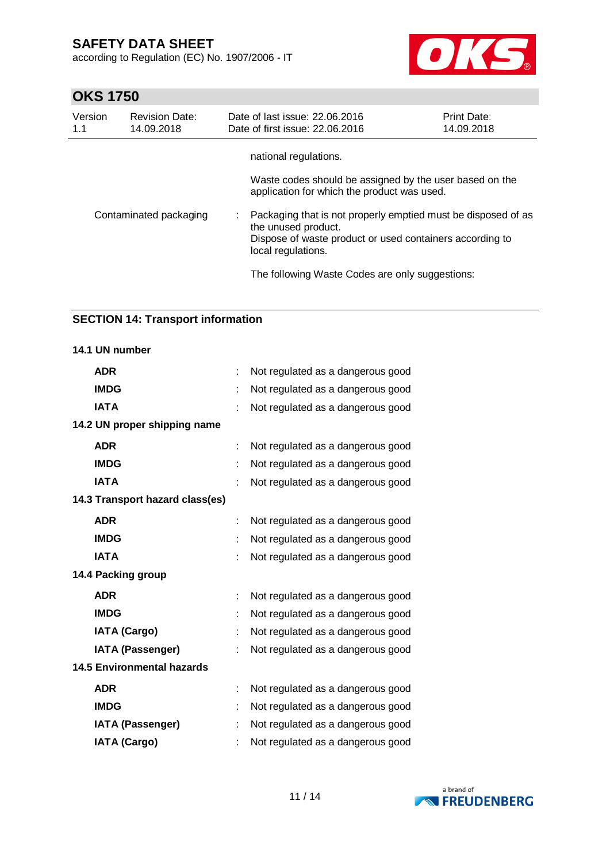according to Regulation (EC) No. 1907/2006 - IT



# **OKS 1750**

| Version<br>1.1         | <b>Revision Date:</b><br>14.09.2018 | Date of last issue: 22.06.2016<br>Date of first issue: 22.06.2016                                                                                                      | <b>Print Date:</b><br>14.09.2018 |
|------------------------|-------------------------------------|------------------------------------------------------------------------------------------------------------------------------------------------------------------------|----------------------------------|
|                        |                                     | national regulations.                                                                                                                                                  |                                  |
|                        |                                     | Waste codes should be assigned by the user based on the<br>application for which the product was used.                                                                 |                                  |
| Contaminated packaging |                                     | Packaging that is not properly emptied must be disposed of as<br>the unused product.<br>Dispose of waste product or used containers according to<br>local regulations. |                                  |
|                        |                                     | The following Waste Codes are only suggestions:                                                                                                                        |                                  |

### **SECTION 14: Transport information**

| 14.1 UN number                    |    |                                   |
|-----------------------------------|----|-----------------------------------|
| <b>ADR</b>                        | t  | Not regulated as a dangerous good |
| <b>IMDG</b>                       |    | Not regulated as a dangerous good |
| <b>IATA</b>                       |    | Not regulated as a dangerous good |
| 14.2 UN proper shipping name      |    |                                   |
| <b>ADR</b>                        | t  | Not regulated as a dangerous good |
| <b>IMDG</b>                       |    | Not regulated as a dangerous good |
| <b>IATA</b>                       |    | Not regulated as a dangerous good |
| 14.3 Transport hazard class(es)   |    |                                   |
| <b>ADR</b>                        |    | Not regulated as a dangerous good |
| <b>IMDG</b>                       |    | Not regulated as a dangerous good |
| <b>IATA</b>                       |    | Not regulated as a dangerous good |
| 14.4 Packing group                |    |                                   |
| <b>ADR</b>                        | t. | Not regulated as a dangerous good |
| <b>IMDG</b>                       |    | Not regulated as a dangerous good |
| <b>IATA (Cargo)</b>               |    | Not regulated as a dangerous good |
| <b>IATA (Passenger)</b>           |    | Not regulated as a dangerous good |
| <b>14.5 Environmental hazards</b> |    |                                   |
| <b>ADR</b>                        | t  | Not regulated as a dangerous good |
| <b>IMDG</b>                       |    | Not regulated as a dangerous good |
| <b>IATA (Passenger)</b>           |    | Not regulated as a dangerous good |
| <b>IATA (Cargo)</b>               |    | Not regulated as a dangerous good |

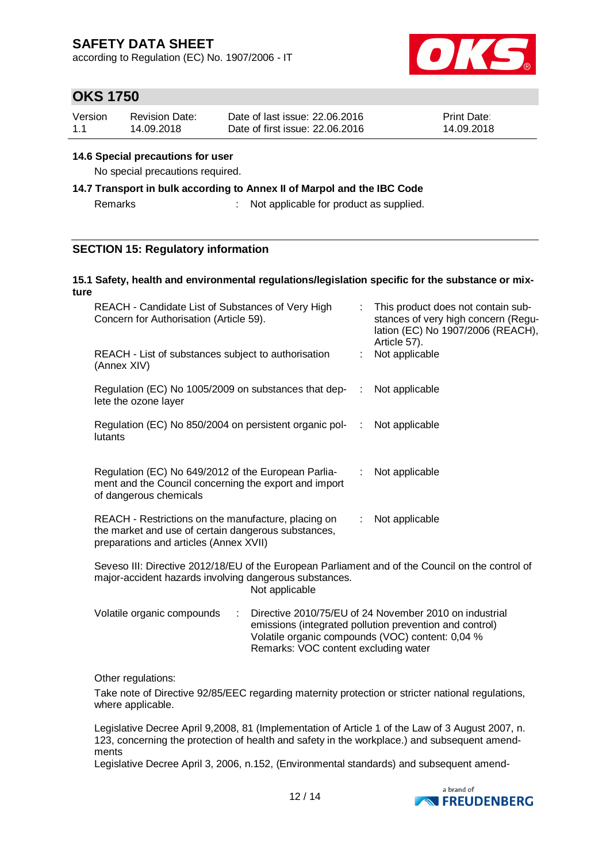according to Regulation (EC) No. 1907/2006 - IT



## **OKS 1750**

| Version | <b>Revision Date:</b> | Date of last issue: 22,06,2016  | <b>Print Date:</b> |
|---------|-----------------------|---------------------------------|--------------------|
| 1.1     | 14.09.2018            | Date of first issue: 22,06,2016 | 14.09.2018         |

#### **14.6 Special precautions for user**

No special precautions required.

# **14.7 Transport in bulk according to Annex II of Marpol and the IBC Code**

Remarks : Not applicable for product as supplied.

### **SECTION 15: Regulatory information**

#### **15.1 Safety, health and environmental regulations/legislation specific for the substance or mixture**

| REACH - Candidate List of Substances of Very High<br>Concern for Authorisation (Article 59).                                                               | This product does not contain sub-<br>stances of very high concern (Regu-<br>lation (EC) No 1907/2006 (REACH),<br>Article 57). |  |  |  |
|------------------------------------------------------------------------------------------------------------------------------------------------------------|--------------------------------------------------------------------------------------------------------------------------------|--|--|--|
| REACH - List of substances subject to authorisation<br>(Annex XIV)                                                                                         | Not applicable                                                                                                                 |  |  |  |
| Regulation (EC) No 1005/2009 on substances that dep-<br><br>lete the ozone layer                                                                           | Not applicable                                                                                                                 |  |  |  |
| Regulation (EC) No 850/2004 on persistent organic pol-<br>lutants                                                                                          | Not applicable<br>÷.                                                                                                           |  |  |  |
| Regulation (EC) No 649/2012 of the European Parlia-<br>ment and the Council concerning the export and import<br>of dangerous chemicals                     | Not applicable<br>÷.                                                                                                           |  |  |  |
| REACH - Restrictions on the manufacture, placing on<br>the market and use of certain dangerous substances,<br>preparations and articles (Annex XVII)       | Not applicable<br>÷.                                                                                                           |  |  |  |
| Seveso III: Directive 2012/18/EU of the European Parliament and of the Council on the control of<br>major-accident hazards involving dangerous substances. |                                                                                                                                |  |  |  |

Not applicable

| Volatile organic compounds | : Directive 2010/75/EU of 24 November 2010 on industrial |
|----------------------------|----------------------------------------------------------|
|                            | emissions (integrated pollution prevention and control)  |
|                            | Volatile organic compounds (VOC) content: 0,04 %         |
|                            | Remarks: VOC content excluding water                     |

Other regulations:

Take note of Directive 92/85/EEC regarding maternity protection or stricter national regulations, where applicable.

Legislative Decree April 9,2008, 81 (Implementation of Article 1 of the Law of 3 August 2007, n. 123, concerning the protection of health and safety in the workplace.) and subsequent amendments

Legislative Decree April 3, 2006, n.152, (Environmental standards) and subsequent amend-

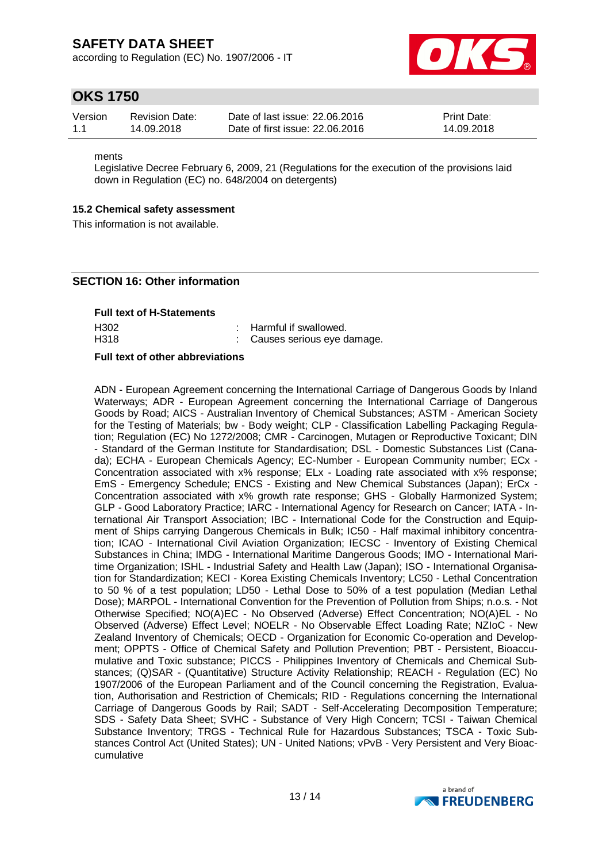according to Regulation (EC) No. 1907/2006 - IT



## **OKS 1750**

| Version | <b>Revision Date:</b> | Date of last issue: 22,06,2016  | <b>Print Date:</b> |
|---------|-----------------------|---------------------------------|--------------------|
| 1.1     | 14.09.2018            | Date of first issue: 22,06,2016 | 14.09.2018         |

ments

Legislative Decree February 6, 2009, 21 (Regulations for the execution of the provisions laid down in Regulation (EC) no. 648/2004 on detergents)

#### **15.2 Chemical safety assessment**

This information is not available.

#### **SECTION 16: Other information**

| <b>Full text of H-Statements</b> |                                                         |
|----------------------------------|---------------------------------------------------------|
| H302<br>H318                     | : Harmful if swallowed.<br>: Causes serious eye damage. |

#### **Full text of other abbreviations**

ADN - European Agreement concerning the International Carriage of Dangerous Goods by Inland Waterways; ADR - European Agreement concerning the International Carriage of Dangerous Goods by Road; AICS - Australian Inventory of Chemical Substances; ASTM - American Society for the Testing of Materials; bw - Body weight; CLP - Classification Labelling Packaging Regulation; Regulation (EC) No 1272/2008; CMR - Carcinogen, Mutagen or Reproductive Toxicant; DIN - Standard of the German Institute for Standardisation; DSL - Domestic Substances List (Canada); ECHA - European Chemicals Agency; EC-Number - European Community number; ECx - Concentration associated with x% response; ELx - Loading rate associated with x% response; EmS - Emergency Schedule; ENCS - Existing and New Chemical Substances (Japan); ErCx - Concentration associated with x% growth rate response; GHS - Globally Harmonized System; GLP - Good Laboratory Practice; IARC - International Agency for Research on Cancer; IATA - International Air Transport Association; IBC - International Code for the Construction and Equipment of Ships carrying Dangerous Chemicals in Bulk; IC50 - Half maximal inhibitory concentration; ICAO - International Civil Aviation Organization; IECSC - Inventory of Existing Chemical Substances in China; IMDG - International Maritime Dangerous Goods; IMO - International Maritime Organization; ISHL - Industrial Safety and Health Law (Japan); ISO - International Organisation for Standardization; KECI - Korea Existing Chemicals Inventory; LC50 - Lethal Concentration to 50 % of a test population; LD50 - Lethal Dose to 50% of a test population (Median Lethal Dose); MARPOL - International Convention for the Prevention of Pollution from Ships; n.o.s. - Not Otherwise Specified; NO(A)EC - No Observed (Adverse) Effect Concentration; NO(A)EL - No Observed (Adverse) Effect Level; NOELR - No Observable Effect Loading Rate; NZIoC - New Zealand Inventory of Chemicals; OECD - Organization for Economic Co-operation and Development; OPPTS - Office of Chemical Safety and Pollution Prevention; PBT - Persistent, Bioaccumulative and Toxic substance; PICCS - Philippines Inventory of Chemicals and Chemical Substances; (Q)SAR - (Quantitative) Structure Activity Relationship; REACH - Regulation (EC) No 1907/2006 of the European Parliament and of the Council concerning the Registration, Evaluation, Authorisation and Restriction of Chemicals; RID - Regulations concerning the International Carriage of Dangerous Goods by Rail; SADT - Self-Accelerating Decomposition Temperature; SDS - Safety Data Sheet; SVHC - Substance of Very High Concern; TCSI - Taiwan Chemical Substance Inventory; TRGS - Technical Rule for Hazardous Substances; TSCA - Toxic Substances Control Act (United States); UN - United Nations; vPvB - Very Persistent and Very Bioaccumulative